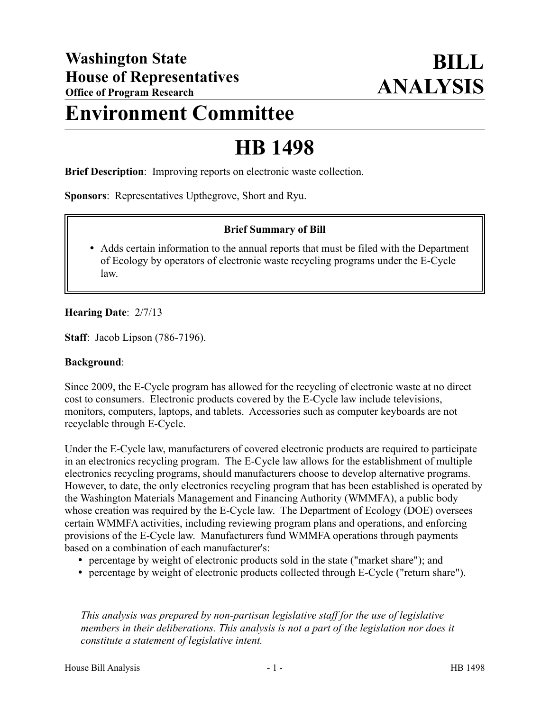## **Environment Committee**

# **HB 1498**

**Brief Description**: Improving reports on electronic waste collection.

**Sponsors**: Representatives Upthegrove, Short and Ryu.

#### **Brief Summary of Bill**

 Adds certain information to the annual reports that must be filed with the Department of Ecology by operators of electronic waste recycling programs under the E-Cycle law.

#### **Hearing Date**: 2/7/13

**Staff**: Jacob Lipson (786-7196).

#### **Background**:

Since 2009, the E-Cycle program has allowed for the recycling of electronic waste at no direct cost to consumers. Electronic products covered by the E-Cycle law include televisions, monitors, computers, laptops, and tablets. Accessories such as computer keyboards are not recyclable through E-Cycle.

Under the E-Cycle law, manufacturers of covered electronic products are required to participate in an electronics recycling program. The E-Cycle law allows for the establishment of multiple electronics recycling programs, should manufacturers choose to develop alternative programs. However, to date, the only electronics recycling program that has been established is operated by the Washington Materials Management and Financing Authority (WMMFA), a public body whose creation was required by the E-Cycle law. The Department of Ecology (DOE) oversees certain WMMFA activities, including reviewing program plans and operations, and enforcing provisions of the E-Cycle law. Manufacturers fund WMMFA operations through payments based on a combination of each manufacturer's:

- percentage by weight of electronic products sold in the state ("market share"); and
- percentage by weight of electronic products collected through E-Cycle ("return share").

––––––––––––––––––––––

*This analysis was prepared by non-partisan legislative staff for the use of legislative members in their deliberations. This analysis is not a part of the legislation nor does it constitute a statement of legislative intent.*